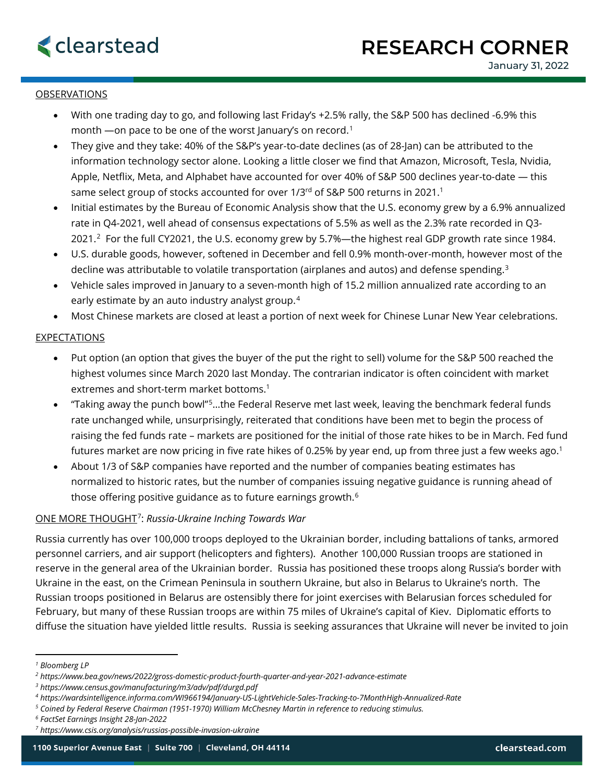## OBSERVATIONS

- With one trading day to go, and following last Friday's +2.5% rally, the S&P 500 has declined -6.9% this month —on pace to be one of the worst January's on record. [1](#page-0-0)
- They give and they take: 40% of the S&P's year-to-date declines (as of 28-Jan) can be attributed to the information technology sector alone. Looking a little closer we find that Amazon, Microsoft, Tesla, Nvidia, Apple, Netflix, Meta, and Alphabet have accounted for over 40% of S&P 500 declines year-to-date — this same select group of stocks accounted for over 1/3rd of S&P 500 returns in 2021.<sup>1</sup>
- Initial estimates by the Bureau of Economic Analysis show that the U.S. economy grew by a 6.9% annualized rate in Q4-2021, well ahead of consensus expectations of 5.5% as well as the 2.3% rate recorded in Q3- 2021.<sup>2</sup> For the full CY2021, the U.S. economy grew by 5.7%—the highest real GDP growth rate since 1984.
- U.S. durable goods, however, softened in December and fell 0.9% month-over-month, however most of the decline was attributable to volatile transportation (airplanes and autos) and defense spending.[3](#page-0-2)
- Vehicle sales improved in January to a seven-month high of 15.2 million annualized rate according to an early estimate by an auto industry analyst group.<sup>[4](#page-0-3)</sup>
- Most Chinese markets are closed at least a portion of next week for Chinese Lunar New Year celebrations.

## **EXPECTATIONS**

- Put option (an option that gives the buyer of the put the right to sell) volume for the S&P 500 reached the highest volumes since March 2020 last Monday. The contrarian indicator is often coincident with market extremes and short-term market bottoms.<sup>1</sup>
- "Taking away the punch bowl"[5](#page-0-4)…the Federal Reserve met last week, leaving the benchmark federal funds rate unchanged while, unsurprisingly, reiterated that conditions have been met to begin the process of raising the fed funds rate – markets are positioned for the initial of those rate hikes to be in March. Fed fund futures market are now pricing in five rate hikes of 0.25% by year end, up from three just a few weeks ago. 1
- About 1/3 of S&P companies have reported and the number of companies beating estimates has normalized to historic rates, but the number of companies issuing negative guidance is running ahead of those offering positive guidance as to future earnings growth.[6](#page-0-5)

## ONE MORE THOUGHT[7](#page-0-6): *Russia-Ukraine Inching Towards War*

Russia currently has over 100,000 troops deployed to the Ukrainian border, including battalions of tanks, armored personnel carriers, and air support (helicopters and fighters). Another 100,000 Russian troops are stationed in reserve in the general area of the Ukrainian border. Russia has positioned these troops along Russia's border with Ukraine in the east, on the Crimean Peninsula in southern Ukraine, but also in Belarus to Ukraine's north. The Russian troops positioned in Belarus are ostensibly there for joint exercises with Belarusian forces scheduled for February, but many of these Russian troops are within 75 miles of Ukraine's capital of Kiev. Diplomatic efforts to diffuse the situation have yielded little results. Russia is seeking assurances that Ukraine will never be invited to join

<span id="page-0-0"></span>*<sup>1</sup> Bloomberg LP*

<span id="page-0-1"></span>*<sup>2</sup> https://www.bea.gov/news/2022/gross-domestic-product-fourth-quarter-and-year-2021-advance-estimate*

<span id="page-0-2"></span>*<sup>3</sup> https://www.census.gov/manufacturing/m3/adv/pdf/durgd.pdf*

<span id="page-0-3"></span>*<sup>4</sup> https://wardsintelligence.informa.com/WI966194/January-US-LightVehicle-Sales-Tracking-to-7MonthHigh-Annualized-Rate*

<span id="page-0-4"></span>*<sup>5</sup> Coined by Federal Reserve Chairman (1951-1970) William McChesney Martin in reference to reducing stimulus.*

<span id="page-0-5"></span>*<sup>6</sup> FactSet Earnings Insight 28-Jan-2022*

<span id="page-0-6"></span>*<sup>7</sup> https://www.csis.org/analysis/russias-possible-invasion-ukraine*